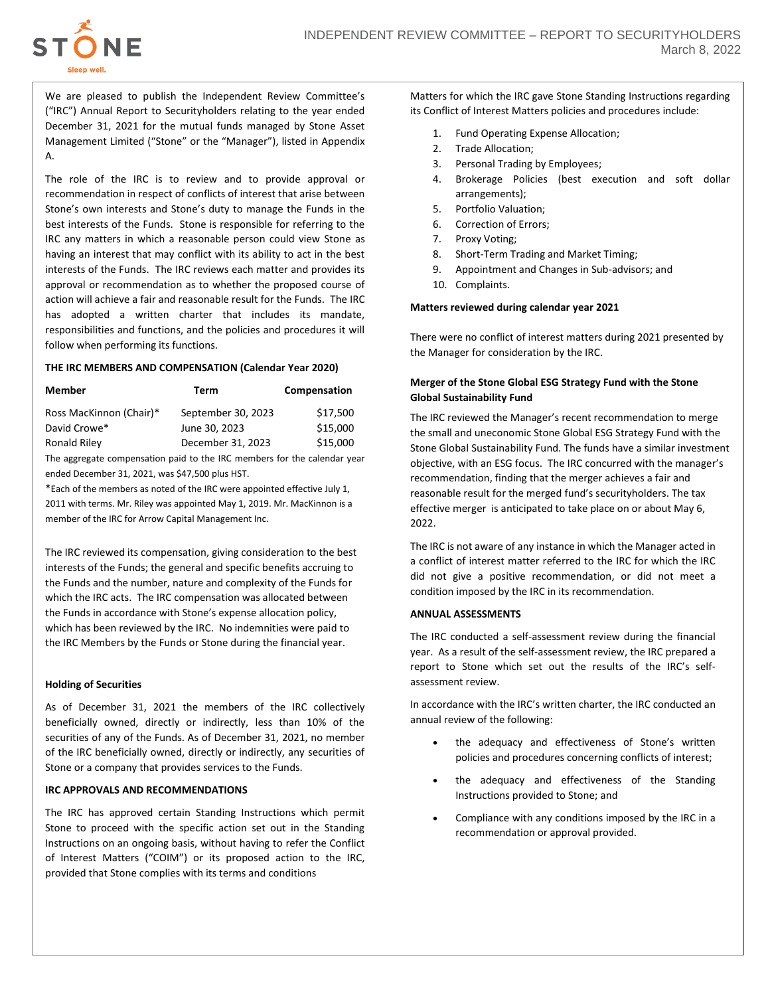

We are pleased to publish the Independent Review Committee's ("IRC") Annual Report to Securityholders relating to the year ended December 31, 2021 for the mutual funds managed by Stone Asset Management Limited ("Stone" or the "Manager"), listed in Appendix A.

The role of the IRC is to review and to provide approval or recommendation in respect of conflicts of interest that arise between Stone's own interests and Stone's duty to manage the Funds in the best interests of the Funds. Stone is responsible for referring to the IRC any matters in which a reasonable person could view Stone as having an interest that may conflict with its ability to act in the best interests of the Funds. The IRC reviews each matter and provides its approval or recommendation as to whether the proposed course of action will achieve a fair and reasonable result for the Funds. The IRC has adopted a written charter that includes its mandate, responsibilities and functions, and the policies and procedures it will follow when performing its functions.

### **THE IRC MEMBERS AND COMPENSATION (Calendar Year 2020)**

| <b>Member</b>           | Term               | Compensation |
|-------------------------|--------------------|--------------|
| Ross MacKinnon (Chair)* | September 30, 2023 | \$17,500     |
| David Crowe*            | June 30, 2023      | \$15,000     |
| <b>Ronald Riley</b>     | December 31, 2023  | \$15,000     |
|                         |                    |              |

The aggregate compensation paid to the IRC members for the calendar year ended December 31, 2021, was \$47,500 plus HST.

\*Each of the members as noted of the IRC were appointed effective July 1, 2011 with terms. Mr. Riley was appointed May 1, 2019. Mr. MacKinnon is a member of the IRC for Arrow Capital Management Inc.

The IRC reviewed its compensation, giving consideration to the best interests of the Funds; the general and specific benefits accruing to the Funds and the number, nature and complexity of the Funds for which the IRC acts. The IRC compensation was allocated between the Funds in accordance with Stone's expense allocation policy, which has been reviewed by the IRC. No indemnities were paid to the IRC Members by the Funds or Stone during the financial year.

### **Holding of Securities**

As of December 31, 2021 the members of the IRC collectively beneficially owned, directly or indirectly, less than 10% of the securities of any of the Funds. As of December 31, 2021, no member of the IRC beneficially owned, directly or indirectly, any securities of Stone or a company that provides services to the Funds.

### **IRC APPROVALS AND RECOMMENDATIONS**

The IRC has approved certain Standing Instructions which permit Stone to proceed with the specific action set out in the Standing Instructions on an ongoing basis, without having to refer the Conflict of Interest Matters ("COIM") or its proposed action to the IRC, provided that Stone complies with its terms and conditions

Matters for which the IRC gave Stone Standing Instructions regarding its Conflict of Interest Matters policies and procedures include:

- 1. Fund Operating Expense Allocation;
- 2. Trade Allocation;
- 3. Personal Trading by Employees;
- 4. Brokerage Policies (best execution and soft dollar arrangements);
- 5. Portfolio Valuation;
- 6. Correction of Errors;
- 7. Proxy Voting;
- 8. Short-Term Trading and Market Timing;
- 9. Appointment and Changes in Sub-advisors; and
- 10. Complaints.

### **Matters reviewed during calendar year 2021**

There were no conflict of interest matters during 2021 presented by the Manager for consideration by the IRC.

## **Merger of the Stone Global ESG Strategy Fund with the Stone Global Sustainability Fund**

The IRC reviewed the Manager's recent recommendation to merge the small and uneconomic Stone Global ESG Strategy Fund with the Stone Global Sustainability Fund. The funds have a similar investment objective, with an ESG focus. The IRC concurred with the manager's recommendation, finding that the merger achieves a fair and reasonable result for the merged fund's securityholders. The tax effective merger is anticipated to take place on or about May 6, 2022.

The IRC is not aware of any instance in which the Manager acted in a conflict of interest matter referred to the IRC for which the IRC did not give a positive recommendation, or did not meet a condition imposed by the IRC in its recommendation.

### **ANNUAL ASSESSMENTS**

The IRC conducted a self-assessment review during the financial year. As a result of the self-assessment review, the IRC prepared a report to Stone which set out the results of the IRC's selfassessment review.

In accordance with the IRC's written charter, the IRC conducted an annual review of the following:

- the adequacy and effectiveness of Stone's written policies and procedures concerning conflicts of interest;
- the adequacy and effectiveness of the Standing Instructions provided to Stone; and
- Compliance with any conditions imposed by the IRC in a recommendation or approval provided.